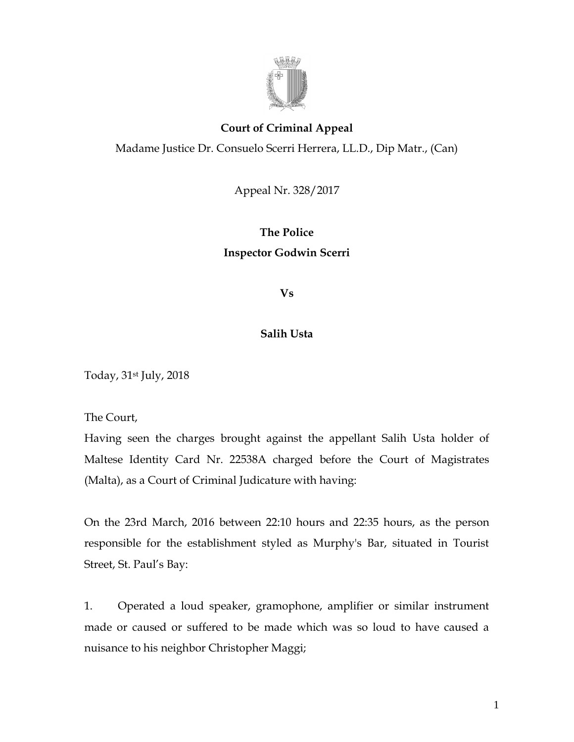

## **Court of Criminal Appeal**

Madame Justice Dr. Consuelo Scerri Herrera, LL.D., Dip Matr., (Can)

Appeal Nr. 328/2017

## **The Police Inspector Godwin Scerri**

**Vs**

## **Salih Usta**

Today, 31st July, 2018

The Court,

Having seen the charges brought against the appellant Salih Usta holder of Maltese Identity Card Nr. 22538A charged before the Court of Magistrates (Malta), as a Court of Criminal Judicature with having:

On the 23rd March, 2016 between 22:10 hours and 22:35 hours, as the person responsible for the establishment styled as Murphy's Bar, situated in Tourist Street, St. Paul's Bay:

1. Operated a loud speaker, gramophone, amplifier or similar instrument made or caused or suffered to be made which was so loud to have caused a nuisance to his neighbor Christopher Maggi;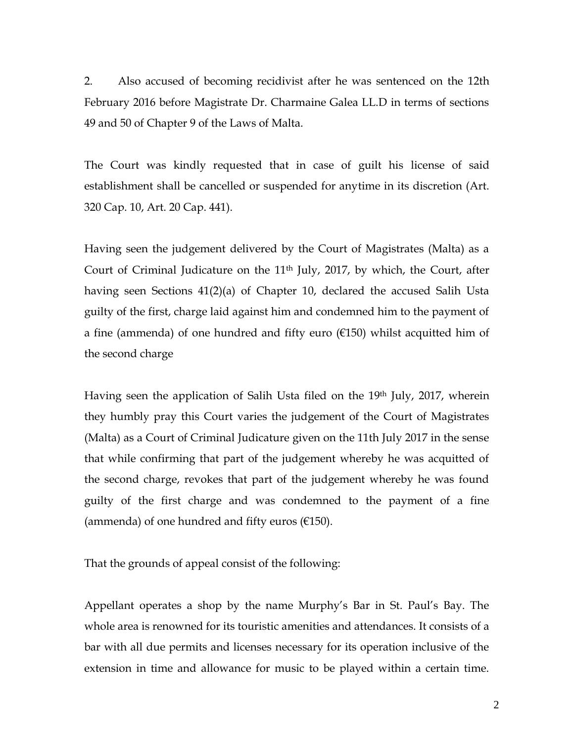2. Also accused of becoming recidivist after he was sentenced on the 12th February 2016 before Magistrate Dr. Charmaine Galea LL.D in terms of sections 49 and 50 of Chapter 9 of the Laws of Malta.

The Court was kindly requested that in case of guilt his license of said establishment shall be cancelled or suspended for anytime in its discretion (Art. 320 Cap. 10, Art. 20 Cap. 441).

Having seen the judgement delivered by the Court of Magistrates (Malta) as a Court of Criminal Judicature on the 11<sup>th</sup> July, 2017, by which, the Court, after having seen Sections 41(2)(a) of Chapter 10, declared the accused Salih Usta guilty of the first, charge laid against him and condemned him to the payment of a fine (ammenda) of one hundred and fifty euro  $(£150)$  whilst acquitted him of the second charge

Having seen the application of Salih Usta filed on the 19th July, 2017, wherein they humbly pray this Court varies the judgement of the Court of Magistrates (Malta) as a Court of Criminal Judicature given on the 11th July 2017 in the sense that while confirming that part of the judgement whereby he was acquitted of the second charge, revokes that part of the judgement whereby he was found guilty of the first charge and was condemned to the payment of a fine (ammenda) of one hundred and fifty euros  $(E150)$ .

That the grounds of appeal consist of the following:

Appellant operates a shop by the name Murphy's Bar in St. Paul's Bay. The whole area is renowned for its touristic amenities and attendances. It consists of a bar with all due permits and licenses necessary for its operation inclusive of the extension in time and allowance for music to be played within a certain time.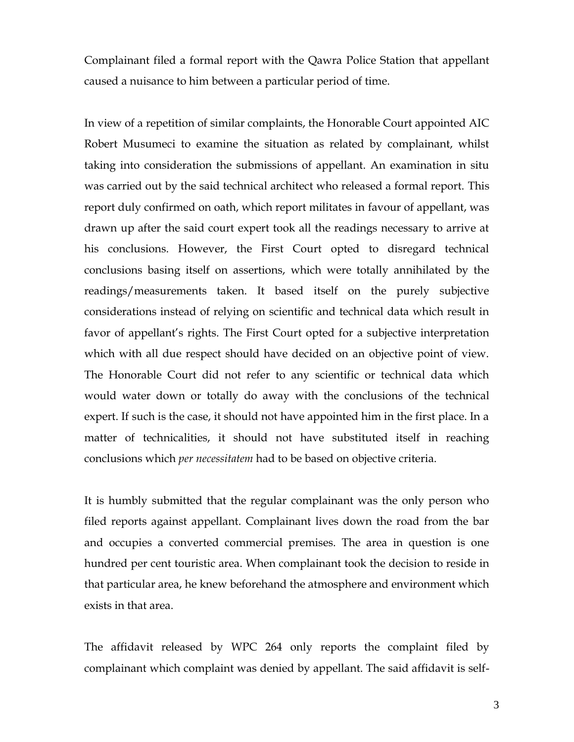Complainant filed a formal report with the Qawra Police Station that appellant caused a nuisance to him between a particular period of time.

In view of a repetition of similar complaints, the Honorable Court appointed AIC Robert Musumeci to examine the situation as related by complainant, whilst taking into consideration the submissions of appellant. An examination in situ was carried out by the said technical architect who released a formal report. This report duly confirmed on oath, which report militates in favour of appellant, was drawn up after the said court expert took all the readings necessary to arrive at his conclusions. However, the First Court opted to disregard technical conclusions basing itself on assertions, which were totally annihilated by the readings/measurements taken. It based itself on the purely subjective considerations instead of relying on scientific and technical data which result in favor of appellant's rights. The First Court opted for a subjective interpretation which with all due respect should have decided on an objective point of view. The Honorable Court did not refer to any scientific or technical data which would water down or totally do away with the conclusions of the technical expert. If such is the case, it should not have appointed him in the first place. In a matter of technicalities, it should not have substituted itself in reaching conclusions which *per necessitatem* had to be based on objective criteria.

It is humbly submitted that the regular complainant was the only person who filed reports against appellant. Complainant lives down the road from the bar and occupies a converted commercial premises. The area in question is one hundred per cent touristic area. When complainant took the decision to reside in that particular area, he knew beforehand the atmosphere and environment which exists in that area.

The affidavit released by WPC 264 only reports the complaint filed by complainant which complaint was denied by appellant. The said affidavit is self-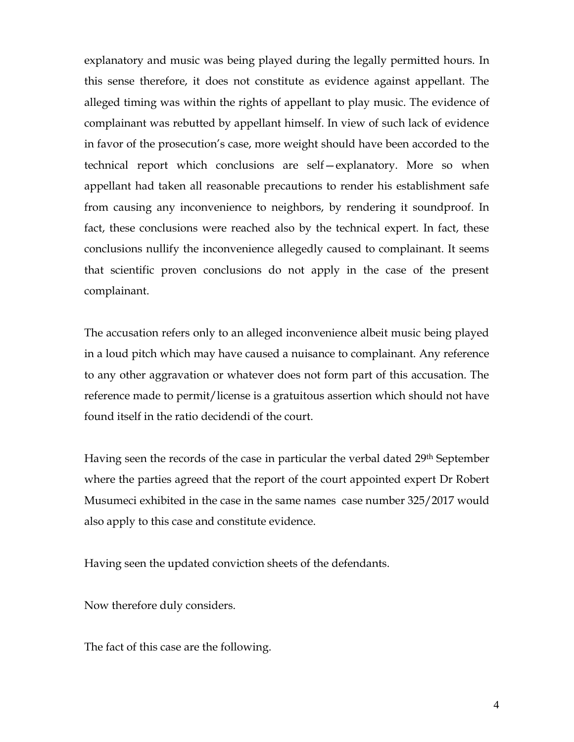explanatory and music was being played during the legally permitted hours. In this sense therefore, it does not constitute as evidence against appellant. The alleged timing was within the rights of appellant to play music. The evidence of complainant was rebutted by appellant himself. In view of such lack of evidence in favor of the prosecution's case, more weight should have been accorded to the technical report which conclusions are self—explanatory. More so when appellant had taken all reasonable precautions to render his establishment safe from causing any inconvenience to neighbors, by rendering it soundproof. In fact, these conclusions were reached also by the technical expert. In fact, these conclusions nullify the inconvenience allegedly caused to complainant. It seems that scientific proven conclusions do not apply in the case of the present complainant.

The accusation refers only to an alleged inconvenience albeit music being played in a loud pitch which may have caused a nuisance to complainant. Any reference to any other aggravation or whatever does not form part of this accusation. The reference made to permit/license is a gratuitous assertion which should not have found itself in the ratio decidendi of the court.

Having seen the records of the case in particular the verbal dated 29<sup>th</sup> September where the parties agreed that the report of the court appointed expert Dr Robert Musumeci exhibited in the case in the same names case number 325/2017 would also apply to this case and constitute evidence.

Having seen the updated conviction sheets of the defendants.

Now therefore duly considers.

The fact of this case are the following.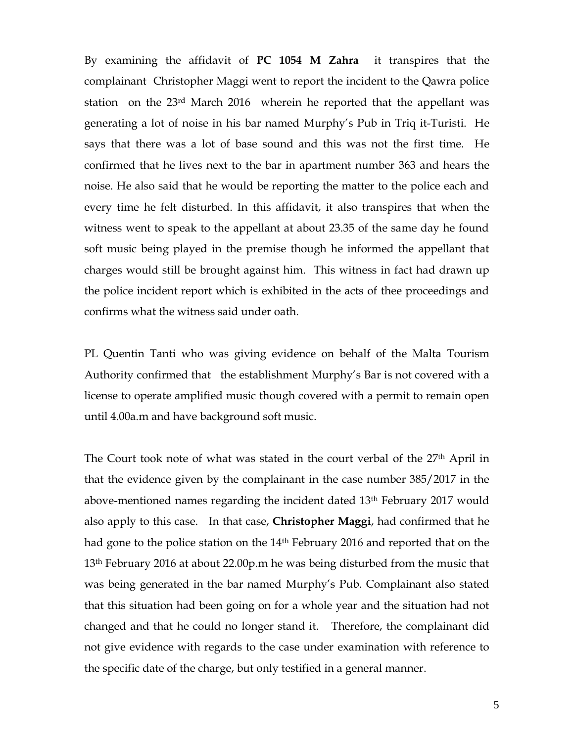By examining the affidavit of **PC 1054 M Zahra** it transpires that the complainant Christopher Maggi went to report the incident to the Qawra police station on the 23rd March 2016 wherein he reported that the appellant was generating a lot of noise in his bar named Murphy's Pub in Triq it-Turisti. He says that there was a lot of base sound and this was not the first time. He confirmed that he lives next to the bar in apartment number 363 and hears the noise. He also said that he would be reporting the matter to the police each and every time he felt disturbed. In this affidavit, it also transpires that when the witness went to speak to the appellant at about 23.35 of the same day he found soft music being played in the premise though he informed the appellant that charges would still be brought against him. This witness in fact had drawn up the police incident report which is exhibited in the acts of thee proceedings and confirms what the witness said under oath.

PL Quentin Tanti who was giving evidence on behalf of the Malta Tourism Authority confirmed that the establishment Murphy's Bar is not covered with a license to operate amplified music though covered with a permit to remain open until 4.00a.m and have background soft music.

The Court took note of what was stated in the court verbal of the 27<sup>th</sup> April in that the evidence given by the complainant in the case number 385/2017 in the above-mentioned names regarding the incident dated 13th February 2017 would also apply to this case. In that case, **Christopher Maggi**, had confirmed that he had gone to the police station on the 14<sup>th</sup> February 2016 and reported that on the 13<sup>th</sup> February 2016 at about 22.00p.m he was being disturbed from the music that was being generated in the bar named Murphy's Pub. Complainant also stated that this situation had been going on for a whole year and the situation had not changed and that he could no longer stand it. Therefore, the complainant did not give evidence with regards to the case under examination with reference to the specific date of the charge, but only testified in a general manner.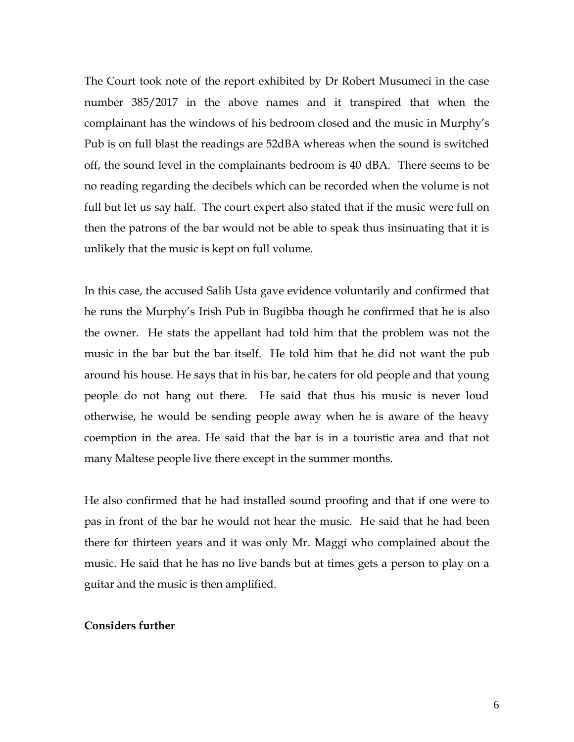The Court took note of the report exhibited by Dr Robert Musumeci in the case number 385/2017 in the above names and it transpired that when the complainant has the windows of his bedroom closed and the music in Murphy's Pub is on full blast the readings are 52dBA whereas when the sound is switched off, the sound level in the complainants bedroom is 40 dBA. There seems to be no reading regarding the decibels which can be recorded when the volume is not full but let us say half. The court expert also stated that if the music were full on then the patrons of the bar would not be able to speak thus insinuating that it is unlikely that the music is kept on full volume.

In this case, the accused Salih Usta gave evidence voluntarily and confirmed that he runs the Murphy's Irish Pub in Bugibba though he confirmed that he is also the owner. He stats the appellant had told him that the problem was not the music in the bar but the bar itself. He told him that he did not want the pub around his house. He says that in his bar, he caters for old people and that young people do not hang out there. He said that thus his music is never loud otherwise, he would be sending people away when he is aware of the heavy coemption in the area. He said that the bar is in a touristic area and that not many Maltese people live there except in the summer months.

He also confirmed that he had installed sound proofing and that if one were to pas in front of the bar he would not hear the music. He said that he had been there for thirteen years and it was only Mr. Maggi who complained about the music. He said that he has no live bands but at times gets a person to play on a guitar and the music is then amplified.

## **Considers further**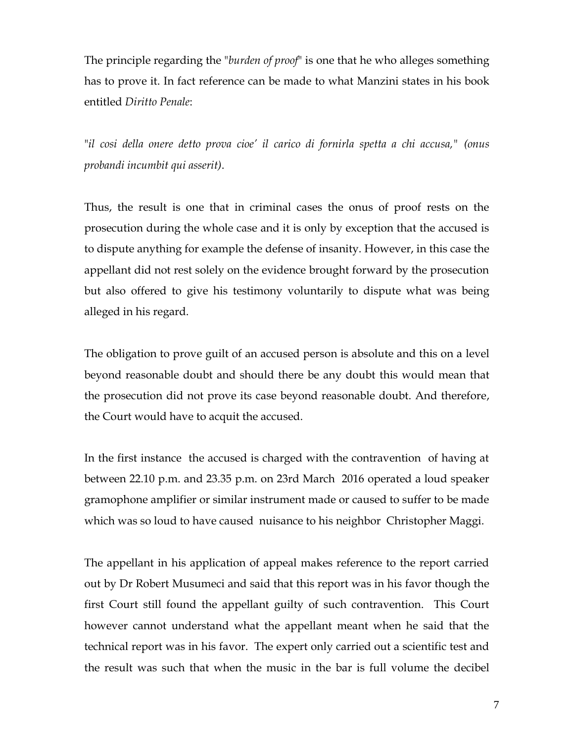The principle regarding the "*burden of proof*" is one that he who alleges something has to prove it. In fact reference can be made to what Manzini states in his book entitled *Diritto Penale*:

"*il cosi della onere detto prova cioe' il carico di fornirla spetta a chi accusa," (onus probandi incumbit qui asserit)*.

Thus, the result is one that in criminal cases the onus of proof rests on the prosecution during the whole case and it is only by exception that the accused is to dispute anything for example the defense of insanity. However, in this case the appellant did not rest solely on the evidence brought forward by the prosecution but also offered to give his testimony voluntarily to dispute what was being alleged in his regard.

The obligation to prove guilt of an accused person is absolute and this on a level beyond reasonable doubt and should there be any doubt this would mean that the prosecution did not prove its case beyond reasonable doubt. And therefore, the Court would have to acquit the accused.

In the first instance the accused is charged with the contravention of having at between 22.10 p.m. and 23.35 p.m. on 23rd March 2016 operated a loud speaker gramophone amplifier or similar instrument made or caused to suffer to be made which was so loud to have caused nuisance to his neighbor Christopher Maggi.

The appellant in his application of appeal makes reference to the report carried out by Dr Robert Musumeci and said that this report was in his favor though the first Court still found the appellant guilty of such contravention. This Court however cannot understand what the appellant meant when he said that the technical report was in his favor. The expert only carried out a scientific test and the result was such that when the music in the bar is full volume the decibel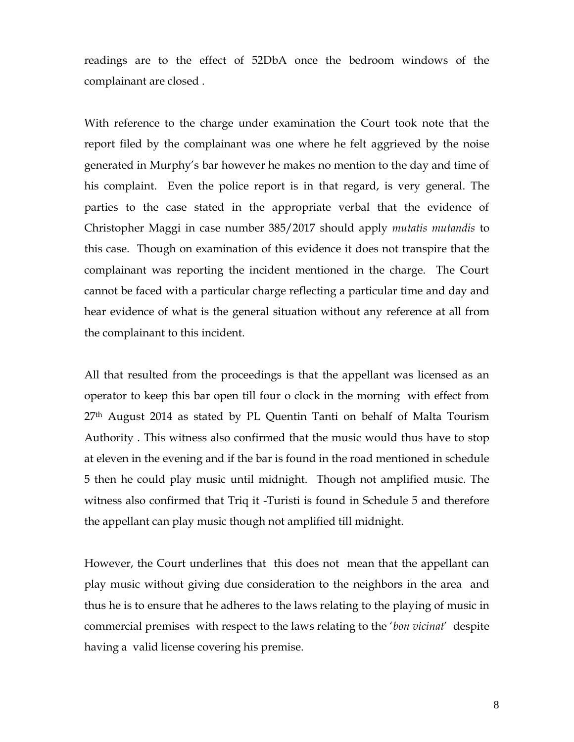readings are to the effect of 52DbA once the bedroom windows of the complainant are closed .

With reference to the charge under examination the Court took note that the report filed by the complainant was one where he felt aggrieved by the noise generated in Murphy's bar however he makes no mention to the day and time of his complaint. Even the police report is in that regard, is very general. The parties to the case stated in the appropriate verbal that the evidence of Christopher Maggi in case number 385/2017 should apply *mutatis mutandis* to this case. Though on examination of this evidence it does not transpire that the complainant was reporting the incident mentioned in the charge. The Court cannot be faced with a particular charge reflecting a particular time and day and hear evidence of what is the general situation without any reference at all from the complainant to this incident.

All that resulted from the proceedings is that the appellant was licensed as an operator to keep this bar open till four o clock in the morning with effect from 27<sup>th</sup> August 2014 as stated by PL Quentin Tanti on behalf of Malta Tourism Authority . This witness also confirmed that the music would thus have to stop at eleven in the evening and if the bar is found in the road mentioned in schedule 5 then he could play music until midnight. Though not amplified music. The witness also confirmed that Triq it -Turisti is found in Schedule 5 and therefore the appellant can play music though not amplified till midnight.

However, the Court underlines that this does not mean that the appellant can play music without giving due consideration to the neighbors in the area and thus he is to ensure that he adheres to the laws relating to the playing of music in commercial premises with respect to the laws relating to the '*bon vicinat*' despite having a valid license covering his premise.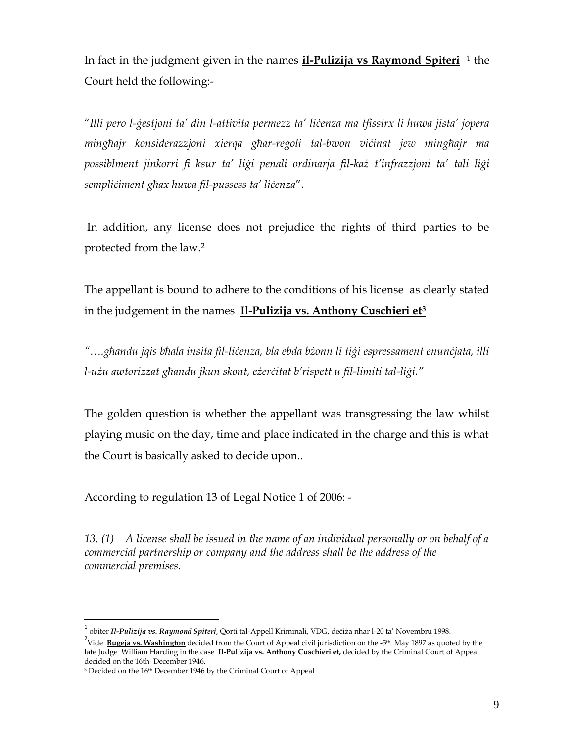In fact in the judgment given in the names **il-Pulizija vs Raymond Spiteri** <sup>1</sup> the Court held the following:-

"*Illi pero l-ġestjoni ta' din l-attivita permezz ta' liċenza ma tfissirx li huwa jista' jopera mingħajr konsiderazzjoni xierqa għar-regoli tal-bwon viċinat jew mingħajr ma possiblment jinkorri fi ksur ta' liġi penali ordinarja fil-każ t'infrazzjoni ta' tali liġi sempliċiment għax huwa fil-pussess ta' liċenza*".

In addition, any license does not prejudice the rights of third parties to be protected from the law.<sup>2</sup>

The appellant is bound to adhere to the conditions of his license as clearly stated in the judgement in the names **Il-Pulizija vs. Anthony Cuschieri et<sup>3</sup>**

*"….għandu jqis bħala insita fil-liċenza, bla ebda bżonn li tiġi espressament enunċjata, illi l-użu awtorizzat għandu jkun skont, eżerċitat b'rispett u fil-limiti tal-liġi."*

The golden question is whether the appellant was transgressing the law whilst playing music on the day, time and place indicated in the charge and this is what the Court is basically asked to decide upon..

According to regulation 13 of Legal Notice 1 of 2006: -

*13. (1) A license shall be issued in the name of an individual personally or on behalf of a commercial partnership or company and the address shall be the address of the commercial premises.*

 $\overline{a}$ 

<sup>&</sup>lt;sup>1</sup> obiter *Il-Pulizija vs. Raymond Spiteri,* Qorti tal-Appell Kriminali, VDG, deċiża nhar l-20 ta' Novembru 1998.

<sup>&</sup>lt;sup>2</sup>Vide Bugeja vs. Washington decided from the Court of Appeal civil jurisdiction on the -5<sup>th</sup> May 1897 as quoted by the late Judge William Harding in the case **Il-Pulizija vs. Anthony Cuschieri et,** decided by the Criminal Court of Appeal decided on the 16th December 1946.

<sup>&</sup>lt;sup>3</sup> Decided on the 16<sup>th</sup> December 1946 by the Criminal Court of Appeal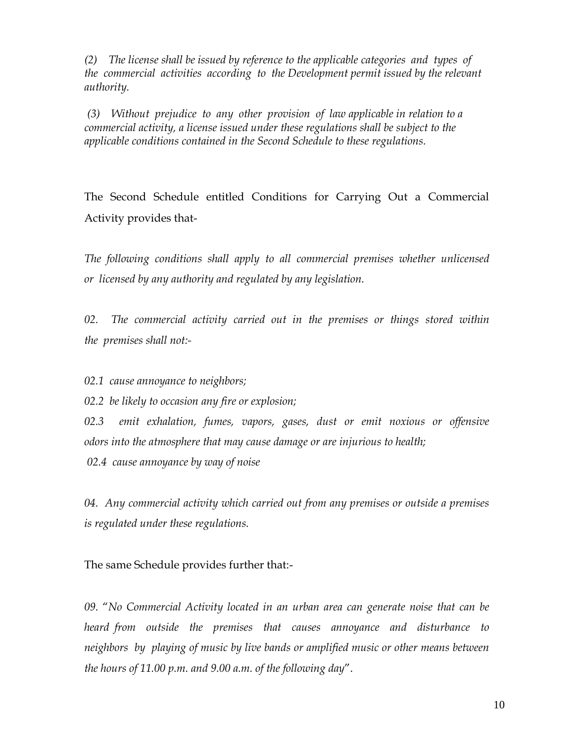*(2) The license shall be issued by reference to the applicable categories and types of the commercial activities according to the Development permit issued by the relevant authority.* 

*(3) Without prejudice to any other provision of law applicable in relation to a commercial activity, a license issued under these regulations shall be subject to the applicable conditions contained in the Second Schedule to these regulations.*

The Second Schedule entitled Conditions for Carrying Out a Commercial Activity provides that-

*The following conditions shall apply to all commercial premises whether unlicensed or licensed by any authority and regulated by any legislation.*

*02. The commercial activity carried out in the premises or things stored within the premises shall not:-*

*02.1 cause annoyance to neighbors;*

*02.2 be likely to occasion any fire or explosion;* 

*02.3 emit exhalation, fumes, vapors, gases, dust or emit noxious or offensive odors into the atmosphere that may cause damage or are injurious to health;* 

*02.4 cause annoyance by way of noise*

*04. Any commercial activity which carried out from any premises or outside a premises is regulated under these regulations.*

The same Schedule provides further that:-

*09*. "*No Commercial Activity located in an urban area can generate noise that can be heard from outside the premises that causes annoyance and disturbance to neighbors by playing of music by live bands or amplified music or other means between the hours of 11.00 p.m. and 9.00 a.m. of the following day*".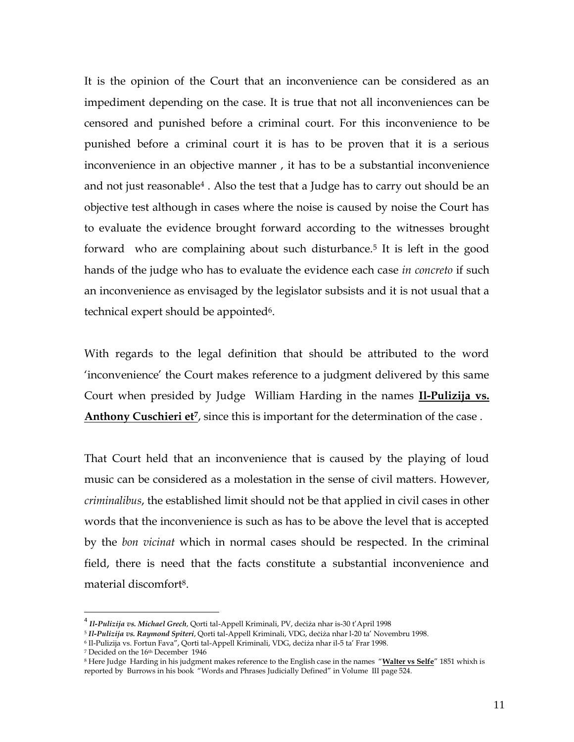It is the opinion of the Court that an inconvenience can be considered as an impediment depending on the case. It is true that not all inconveniences can be censored and punished before a criminal court. For this inconvenience to be punished before a criminal court it is has to be proven that it is a serious inconvenience in an objective manner , it has to be a substantial inconvenience and not just reasonable<sup>4</sup>. Also the test that a Judge has to carry out should be an objective test although in cases where the noise is caused by noise the Court has to evaluate the evidence brought forward according to the witnesses brought forward who are complaining about such disturbance.<sup>5</sup> It is left in the good hands of the judge who has to evaluate the evidence each case *in concreto* if such an inconvenience as envisaged by the legislator subsists and it is not usual that a technical expert should be appointed<sup>6</sup>.

With regards to the legal definition that should be attributed to the word 'inconvenience' the Court makes reference to a judgment delivered by this same Court when presided by Judge William Harding in the names **Il-Pulizija vs.**  Anthony Cuschieri et<sup>*T*</sup>, since this is important for the determination of the case.

That Court held that an inconvenience that is caused by the playing of loud music can be considered as a molestation in the sense of civil matters. However, *criminalibus*, the established limit should not be that applied in civil cases in other words that the inconvenience is such as has to be above the level that is accepted by the *bon vicinat* which in normal cases should be respected. In the criminal field, there is need that the facts constitute a substantial inconvenience and material discomfort8.

 $\overline{a}$ 

<sup>4</sup> *Il-Pulizija vs. Michael Grech*, Qorti tal-Appell Kriminali, PV, deċiża nhar is-30 t'April 1998

<sup>5</sup> *Il-Pulizija vs. Raymond Spiteri*, Qorti tal-Appell Kriminali, VDG, deċiża nhar l-20 ta' Novembru 1998.

<sup>6</sup> Il-Pulizija vs. Fortun Fava", Qorti tal-Appell Kriminali, VDG, deċiża nhar il-5 ta' Frar 1998.

<sup>7</sup> Decided on the 16th December 1946

<sup>8</sup> Here Judge Harding in his judgment makes reference to the English case in the names "**Walter vs Selfe**" 1851 whixh is reported by Burrows in his book "Words and Phrases Judicially Defined" in Volume III page 524.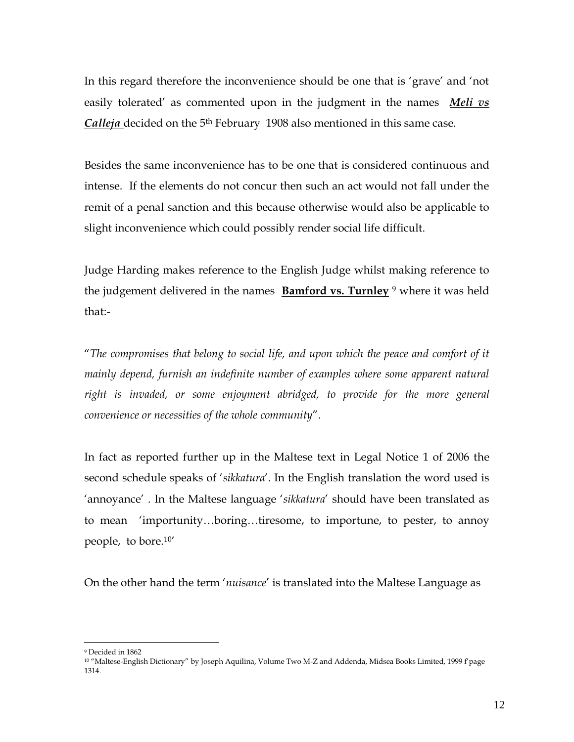In this regard therefore the inconvenience should be one that is 'grave' and 'not easily tolerated' as commented upon in the judgment in the names *Meli vs Calleja* decided on the 5<sup>th</sup> February 1908 also mentioned in this same case.

Besides the same inconvenience has to be one that is considered continuous and intense. If the elements do not concur then such an act would not fall under the remit of a penal sanction and this because otherwise would also be applicable to slight inconvenience which could possibly render social life difficult.

Judge Harding makes reference to the English Judge whilst making reference to the judgement delivered in the names **Bamford vs. Turnley** <sup>9</sup> where it was held that:-

"*The compromises that belong to social life, and upon which the peace and comfort of it mainly depend, furnish an indefinite number of examples where some apparent natural right is invaded, or some enjoyment abridged, to provide for the more general convenience or necessities of the whole community*".

In fact as reported further up in the Maltese text in Legal Notice 1 of 2006 the second schedule speaks of '*sikkatura*'. In the English translation the word used is 'annoyance' . In the Maltese language '*sikkatura*' should have been translated as to mean 'importunity…boring…tiresome, to importune, to pester, to annoy people, to bore.10'

On the other hand the term '*nuisance*' is translated into the Maltese Language as

 $\overline{a}$ <sup>9</sup> Decided in 1862

<sup>&</sup>lt;sup>10</sup> "Maltese-English Dictionary" by Joseph Aquilina, Volume Two M-Z and Addenda, Midsea Books Limited, 1999 f'page 1314.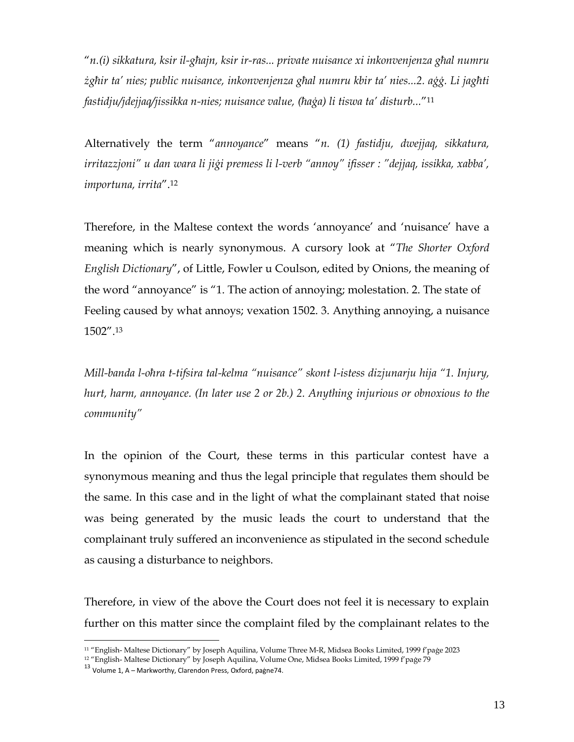"*n.(i) sikkatura, ksir il-għajn, ksir ir-ras... private nuisance xi inkonvenjenza għal numru żgħir ta' nies; public nuisance, inkonvenjenza għal numru kbir ta' nies...2. aġġ. Li jagħti fastidju/jdejjaq/jissikka n-nies; nuisance value, (ħaġa) li tiswa ta' disturb...*"<sup>11</sup>

Alternatively the term "*annoyance*" means "*n. (1) fastidju, dwejjaq, sikkatura, irritazzjoni" u dan wara li jiġi premess li l-verb "annoy" ifisser : "dejjaq, issikka, xabba', importuna, irrita*".<sup>12</sup>

Therefore, in the Maltese context the words 'annoyance' and 'nuisance' have a meaning which is nearly synonymous. A cursory look at "*The Shorter Oxford English Dictionary*", of Little, Fowler u Coulson, edited by Onions, the meaning of the word "annoyance" is "1. The action of annoying; molestation. 2. The state of Feeling caused by what annoys; vexation 1502. 3. Anything annoying, a nuisance 1502".<sup>13</sup>

*Mill-banda l-oħra t-tifsira tal-kelma "nuisance" skont l-istess dizjunarju hija "1. Injury, hurt, harm, annoyance. (In later use 2 or 2b.) 2. Anything injurious or obnoxious to the community"*

In the opinion of the Court, these terms in this particular contest have a synonymous meaning and thus the legal principle that regulates them should be the same. In this case and in the light of what the complainant stated that noise was being generated by the music leads the court to understand that the complainant truly suffered an inconvenience as stipulated in the second schedule as causing a disturbance to neighbors.

Therefore, in view of the above the Court does not feel it is necessary to explain further on this matter since the complaint filed by the complainant relates to the

 $\overline{a}$ <sup>11</sup> "English- Maltese Dictionary" by Joseph Aquilina, Volume Three M-R, Midsea Books Limited, 1999 f'paġe 2023

<sup>12</sup> "English- Maltese Dictionary" by Joseph Aquilina, Volume One, Midsea Books Limited, 1999 f'paġe 79

<sup>13</sup> Volume 1, A – Markworthy, Clarendon Press, Oxford, paġne74.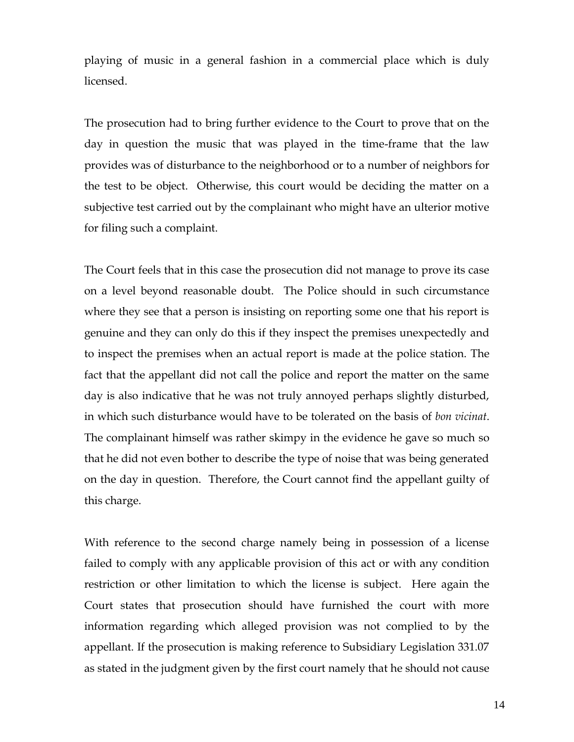playing of music in a general fashion in a commercial place which is duly licensed.

The prosecution had to bring further evidence to the Court to prove that on the day in question the music that was played in the time-frame that the law provides was of disturbance to the neighborhood or to a number of neighbors for the test to be object. Otherwise, this court would be deciding the matter on a subjective test carried out by the complainant who might have an ulterior motive for filing such a complaint.

The Court feels that in this case the prosecution did not manage to prove its case on a level beyond reasonable doubt. The Police should in such circumstance where they see that a person is insisting on reporting some one that his report is genuine and they can only do this if they inspect the premises unexpectedly and to inspect the premises when an actual report is made at the police station. The fact that the appellant did not call the police and report the matter on the same day is also indicative that he was not truly annoyed perhaps slightly disturbed, in which such disturbance would have to be tolerated on the basis of *bon vicinat*. The complainant himself was rather skimpy in the evidence he gave so much so that he did not even bother to describe the type of noise that was being generated on the day in question. Therefore, the Court cannot find the appellant guilty of this charge.

With reference to the second charge namely being in possession of a license failed to comply with any applicable provision of this act or with any condition restriction or other limitation to which the license is subject. Here again the Court states that prosecution should have furnished the court with more information regarding which alleged provision was not complied to by the appellant. If the prosecution is making reference to Subsidiary Legislation 331.07 as stated in the judgment given by the first court namely that he should not cause